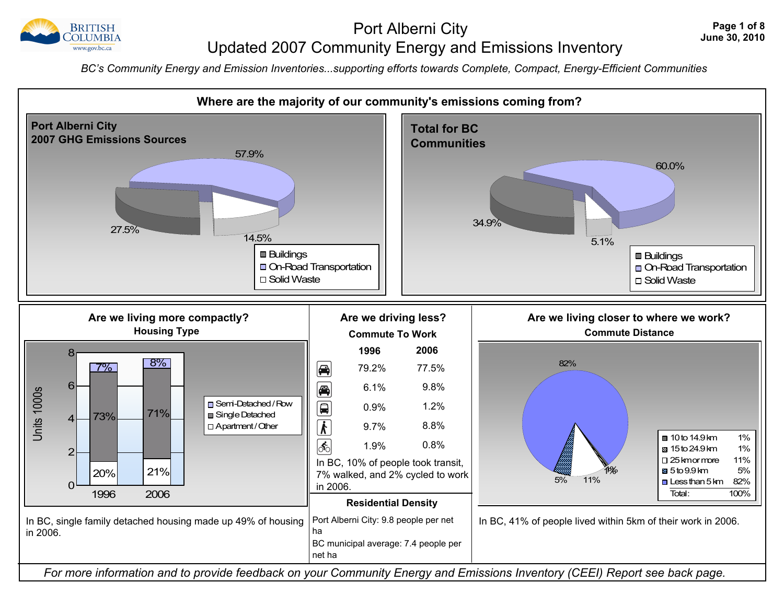

### Port Alberni City Port Alberni City Press, 2010 Updated 2007 Community Energy and Emissions Inventory

 *BC's Community Energy and Emission Inventories...supporting efforts towards Complete, Compact, Energy-Efficient Communities*

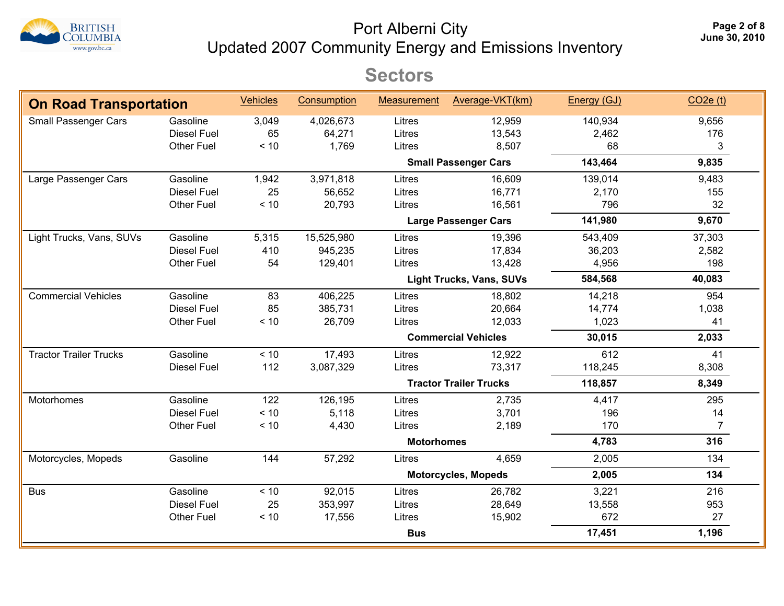

Port Alberni City Updated 2007 Community Energy and Emissions Inventory **Page 2 of 8**

## **Sectors**

| <b>On Road Transportation</b> |                    | <b>Vehicles</b> | Consumption | <b>Measurement</b> | Average-VKT(km)                 | Energy (GJ) | $CO2e$ (t)     |
|-------------------------------|--------------------|-----------------|-------------|--------------------|---------------------------------|-------------|----------------|
| Small Passenger Cars          | Gasoline           | 3,049           | 4,026,673   | Litres             | 12,959                          | 140,934     | 9,656          |
|                               | <b>Diesel Fuel</b> | 65              | 64,271      | Litres             | 13,543                          | 2,462       | 176            |
|                               | <b>Other Fuel</b>  | $< 10$          | 1,769       | Litres             | 8,507                           | 68          | 3              |
|                               |                    |                 |             |                    | <b>Small Passenger Cars</b>     | 143,464     | 9,835          |
| Large Passenger Cars          | Gasoline           | 1,942           | 3,971,818   | Litres             | 16,609                          | 139,014     | 9,483          |
|                               | <b>Diesel Fuel</b> | 25              | 56,652      | Litres             | 16,771                          | 2,170       | 155            |
|                               | <b>Other Fuel</b>  | < 10            | 20,793      | Litres             | 16,561                          | 796         | 32             |
|                               |                    |                 |             |                    | <b>Large Passenger Cars</b>     | 141,980     | 9,670          |
| Light Trucks, Vans, SUVs      | Gasoline           | 5,315           | 15,525,980  | Litres             | 19,396                          | 543,409     | 37,303         |
|                               | <b>Diesel Fuel</b> | 410             | 945,235     | Litres             | 17,834                          | 36,203      | 2,582          |
|                               | <b>Other Fuel</b>  | 54              | 129,401     | Litres             | 13,428                          | 4,956       | 198            |
|                               |                    |                 |             |                    | <b>Light Trucks, Vans, SUVs</b> | 584,568     | 40,083         |
| <b>Commercial Vehicles</b>    | Gasoline           | 83              | 406,225     | Litres             | 18,802                          | 14,218      | 954            |
|                               | <b>Diesel Fuel</b> | 85              | 385,731     | Litres             | 20,664                          | 14,774      | 1,038          |
|                               | <b>Other Fuel</b>  | < 10            | 26,709      | Litres             | 12,033                          | 1,023       | 41             |
|                               |                    |                 |             |                    | <b>Commercial Vehicles</b>      | 30,015      | 2,033          |
| <b>Tractor Trailer Trucks</b> | Gasoline           | < 10            | 17,493      | Litres             | 12,922                          | 612         | 41             |
|                               | <b>Diesel Fuel</b> | 112             | 3,087,329   | Litres             | 73,317                          | 118,245     | 8,308          |
|                               |                    |                 |             |                    | <b>Tractor Trailer Trucks</b>   | 118,857     | 8,349          |
| Motorhomes                    | Gasoline           | 122             | 126,195     | Litres             | 2,735                           | 4,417       | 295            |
|                               | <b>Diesel Fuel</b> | < 10            | 5,118       | Litres             | 3,701                           | 196         | 14             |
|                               | <b>Other Fuel</b>  | < 10            | 4,430       | Litres             | 2,189                           | 170         | $\overline{7}$ |
|                               |                    |                 |             | <b>Motorhomes</b>  |                                 | 4,783       | 316            |
| Motorcycles, Mopeds           | Gasoline           | 144             | 57,292      | Litres             | 4,659                           | 2,005       | 134            |
|                               |                    |                 |             |                    | <b>Motorcycles, Mopeds</b>      | 2,005       | 134            |
| <b>Bus</b>                    | Gasoline           | < 10            | 92,015      | Litres             | 26,782                          | 3,221       | 216            |
|                               | <b>Diesel Fuel</b> | 25              | 353,997     | Litres             | 28,649                          | 13,558      | 953            |
|                               | <b>Other Fuel</b>  | $< 10$          | 17,556      | Litres             | 15,902                          | 672         | 27             |
|                               |                    |                 |             | <b>Bus</b>         |                                 | 17,451      | 1,196          |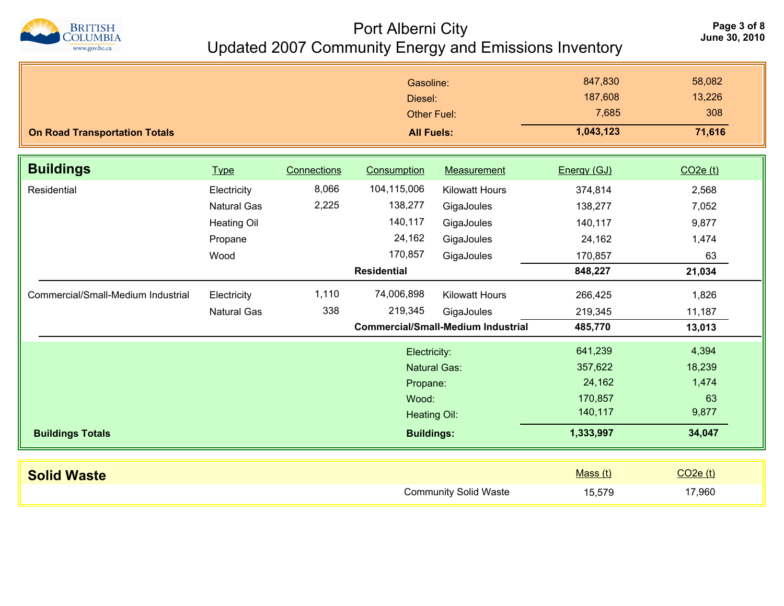

### Port Alberni City<br>June 30, 2010 Updated 2007 Community Energy and Emissions Inventory

| <b>On Road Transportation Totals</b> |                                                                            |                | Gasoline:<br>Diesel:<br><b>Other Fuel:</b><br><b>All Fuels:</b>                                      |                                                                                  | 847,830<br>187,608<br>7,685<br>1,043,123                        | 58,082<br>13,226<br>308<br>71,616                 |
|--------------------------------------|----------------------------------------------------------------------------|----------------|------------------------------------------------------------------------------------------------------|----------------------------------------------------------------------------------|-----------------------------------------------------------------|---------------------------------------------------|
| <b>Buildings</b>                     | <b>Type</b>                                                                | Connections    | Consumption                                                                                          | Measurement                                                                      | Energy (GJ)                                                     | $CO2e$ (t)                                        |
| Residential                          | Electricity<br><b>Natural Gas</b><br><b>Heating Oil</b><br>Propane<br>Wood | 8,066<br>2,225 | 104,115,006<br>138,277<br>140,117<br>24,162<br>170,857<br><b>Residential</b>                         | <b>Kilowatt Hours</b><br>GigaJoules<br>GigaJoules<br>GigaJoules<br>GigaJoules    | 374,814<br>138,277<br>140,117<br>24,162<br>170,857<br>848,227   | 2,568<br>7,052<br>9,877<br>1,474<br>63<br>21,034  |
| Commercial/Small-Medium Industrial   | Electricity<br><b>Natural Gas</b>                                          | 1,110<br>338   | 74,006,898<br>219,345                                                                                | <b>Kilowatt Hours</b><br>GigaJoules<br><b>Commercial/Small-Medium Industrial</b> | 266,425<br>219,345<br>485,770                                   | 1,826<br>11,187<br>13,013                         |
| <b>Buildings Totals</b>              |                                                                            |                | Electricity:<br><b>Natural Gas:</b><br>Propane:<br>Wood:<br><b>Heating Oil:</b><br><b>Buildings:</b> |                                                                                  | 641,239<br>357,622<br>24,162<br>170,857<br>140,117<br>1,333,997 | 4,394<br>18,239<br>1,474<br>63<br>9,877<br>34,047 |
|                                      |                                                                            |                |                                                                                                      |                                                                                  |                                                                 |                                                   |
| <b>Solid Waste</b>                   |                                                                            |                |                                                                                                      | <b>Community Solid Waste</b>                                                     | Mass(t)<br>15,579                                               | $CO2e$ (t)<br>17,960                              |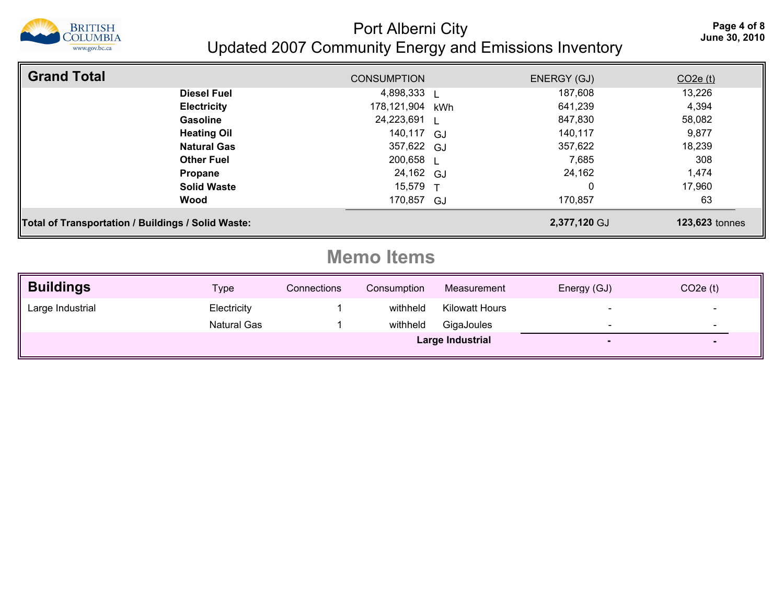

Port Alberni City<br>June 30, 2010 Updated 2007 Community Energy and Emissions Inventory

| <b>Grand Total</b>                                 | <b>CONSUMPTION</b> |              | ENERGY (GJ)  | $CO2e$ (t)            |
|----------------------------------------------------|--------------------|--------------|--------------|-----------------------|
| <b>Diesel Fuel</b>                                 | 4,898,333 L        |              | 187,608      | 13,226                |
| <b>Electricity</b>                                 | 178,121,904        | kWh          | 641,239      | 4,394                 |
| <b>Gasoline</b>                                    | 24,223,691 L       |              | 847,830      | 58,082                |
| <b>Heating Oil</b>                                 | 140,117 GJ         |              | 140.117      | 9,877                 |
| <b>Natural Gas</b>                                 | 357,622 GJ         |              | 357,622      | 18,239                |
| <b>Other Fuel</b>                                  | 200,658 L          |              | 7,685        | 308                   |
| Propane                                            | 24,162 GJ          |              | 24,162       | 1,474                 |
| <b>Solid Waste</b>                                 | 15,579             | $\mathbf{T}$ | 0            | 17,960                |
| Wood                                               | 170,857 GJ         |              | 170,857      | 63                    |
| Total of Transportation / Buildings / Solid Waste: |                    |              | 2,377,120 GJ | <b>123,623 tonnes</b> |

# **Memo Items**

| <b>Buildings</b> | <u>Type</u>        | Connections | Consumption | Measurement      | Energy (GJ)              | $CO2e$ (t) |
|------------------|--------------------|-------------|-------------|------------------|--------------------------|------------|
| Large Industrial | Electricity        |             | withheld    | Kilowatt Hours   | $\overline{\phantom{0}}$ | -          |
|                  | <b>Natural Gas</b> |             | withheld    | GigaJoules       | $\overline{\phantom{0}}$ |            |
|                  |                    |             |             | Large Industrial |                          |            |
|                  |                    |             |             |                  |                          |            |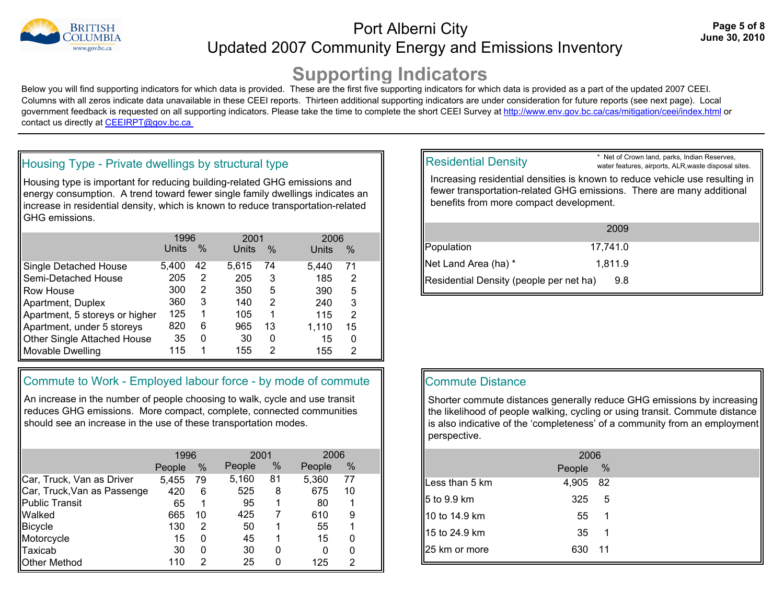

## Port Alberni City<br>June 30, 2010 Updated 2007 Community Energy and Emissions Inventory

# **Supporting Indicators**

Below you will find supporting indicators for which data is provided. These are the first five supporting indicators for which data is provided as a part of the updated 2007 CEEI. Columns with all zeros indicate data unavailable in these CEEI reports. Thirteen additional supporting indicators are under consideration for future reports (see next page). Local government feedback is requested on all supporting indicators. Please take the time to complete the short CEEI Survey at http://www.env.gov.bc.ca/cas/mitigation/ceei/index.html or contact us directly at CEEIRPT@gov.bc.ca

#### Housing Type - Private dwellings by structural type

Housing type is important for reducing building-related GHG emissions and energy consumption. A trend toward fewer single family dwellings indicates an increase in residential density, which is known to reduce transportation-related GHG emissions.

|                                | 1996  |      | 2001  |      | 2006  |                |  |
|--------------------------------|-------|------|-------|------|-------|----------------|--|
|                                | Units | $\%$ | Units | $\%$ | Units | $\%$           |  |
| Single Detached House          | 5,400 | 42   | 5.615 | 74   | 5.440 | 71             |  |
| Semi-Detached House            | 205   | 2    | 205   | 3    | 185   | 2              |  |
| Row House                      | 300   | 2    | 350   | 5    | 390   | 5              |  |
| Apartment, Duplex              | 360   | 3    | 140   | 2    | 240   | 3              |  |
| Apartment, 5 storeys or higher | 125   | 1    | 105   | 1    | 115   | $\overline{2}$ |  |
| Apartment, under 5 storeys     | 820   | 6    | 965   | 13   | 1.110 | 15             |  |
| Other Single Attached House    | 35    | 0    | 30    | 0    | 15    | 0              |  |
| <b>Movable Dwelling</b>        | 115   | 1    | 155   | 2    | 155   | 2              |  |

#### Commute to Work - Employed labour force - by mode of commute

An increase in the number of people choosing to walk, cycle and use transit reduces GHG emissions. More compact, complete, connected communities should see an increase in the use of these transportation modes.

|                             | 1996   |      |        | 2001 |        | 2006 |  |
|-----------------------------|--------|------|--------|------|--------|------|--|
|                             | People | $\%$ | People | ℅    | People | %    |  |
| Car, Truck, Van as Driver   | 5,455  | 79   | 5,160  | 81   | 5,360  | 77   |  |
| Car, Truck, Van as Passenge | 420    | 6    | 525    | 8    | 675    | 10   |  |
| <b>Public Transit</b>       | 65     | 1    | 95     | 1    | 80     |      |  |
| Walked                      | 665    | 10   | 425    |      | 610    | 9    |  |
| <b>Bicycle</b>              | 130    | 2    | 50     | 1    | 55     |      |  |
| Motorcycle                  | 15     | 0    | 45     | 1    | 15     | 0    |  |
| Taxicab                     | 30     | 0    | 30     | 0    | 0      | 0    |  |
| <b>Other Method</b>         | 110    | 2    | 25     | 0    | 125    | 2    |  |

#### Residential Density

\* Net of Crown land, parks, Indian Reserves, water features, airports, ALR,waste disposal sites.

Increasing residential densities is known to reduce vehicle use resulting in fewer transportation-related GHG emissions. There are many additional benefits from more compact development.

|                                         | 2009     |  |
|-----------------------------------------|----------|--|
| Population                              | 17.741.0 |  |
| Net Land Area (ha) *                    | 1.811.9  |  |
| Residential Density (people per net ha) | 9.8      |  |

#### Commute Distance

Shorter commute distances generally reduce GHG emissions by increasing the likelihood of people walking, cycling or using transit. Commute distance is also indicative of the 'completeness' of a community from an employment perspective.

| Less than 5 km       | 4,905 | -82 |                  |
|----------------------|-------|-----|------------------|
| <u></u> 15 to 9.9 km | 325   | 5   |                  |
| 10 to 14.9 km        | 55    |     |                  |
| 15 to 24.9 km        | 35    | -1  |                  |
| 25 km or more        | 630   | -11 |                  |
|                      |       |     | 2006<br>People % |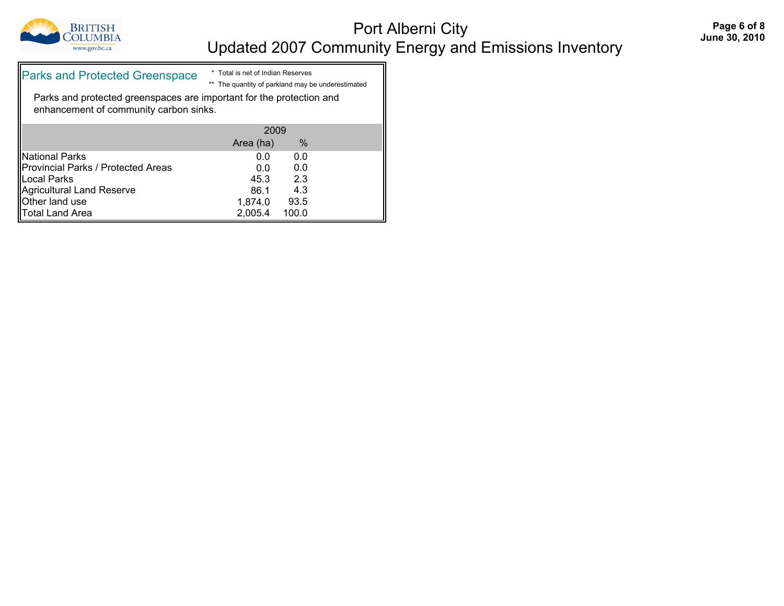

## Port Alberni City<br>
Fage 6 of 8<br>
June 30, 2010 Updated 2007 Community Energy and Emissions Inventory

| <b>Parks and Protected Greenspace</b>                                                                          | * Total is net of Indian Reserves<br>** The quantity of parkland may be underestimated |      |  |  |
|----------------------------------------------------------------------------------------------------------------|----------------------------------------------------------------------------------------|------|--|--|
| Parks and protected greenspaces are important for the protection and<br>enhancement of community carbon sinks. |                                                                                        |      |  |  |
|                                                                                                                | 2009                                                                                   |      |  |  |
|                                                                                                                | Area (ha)                                                                              | $\%$ |  |  |
| National Parks                                                                                                 | 0.0                                                                                    | 0.0  |  |  |
| Provincial Parks / Protected Areas                                                                             | 0.0                                                                                    | 0.0  |  |  |
| Local Parks                                                                                                    | 45.3                                                                                   | 2.3  |  |  |
| Agricultural Land Reserve                                                                                      | 86.1                                                                                   | 4.3  |  |  |

Agricultural Land Reserve **86.1** 4.3 Other land use 1,874.0 93.5 Total Land Area 2,005.4 100.0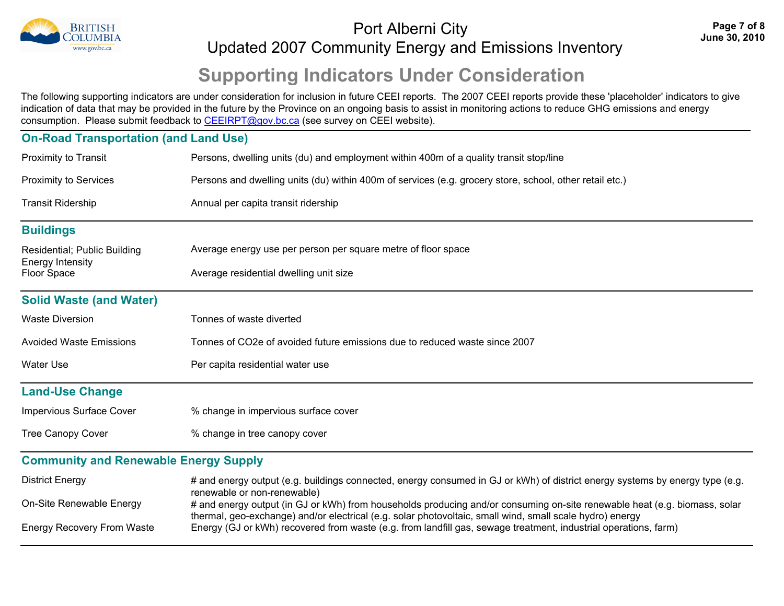

## Port Alberni City and the set of the set of the set of the set of the set of the set of the set of the set of t<br>June 30, 2010 Updated 2007 Community Energy and Emissions Inventory

# **Supporting Indicators Under Consideration**

The following supporting indicators are under consideration for inclusion in future CEEI reports. The 2007 CEEI reports provide these 'placeholder' indicators to give an indication of data that may be provided in the future by the Province on an ongoing basis to assist in monitoring actions to reduce GHG emissions and energy consumption. Please submit feedback to CEEIRPT@gov.bc.ca (see survey on CEEI website).

### **On-Road Transportation (and Land Use)** Proximity to Transit **Persons, dwelling units (du) and employment within 400m of a quality transit stop/line** Proximity to Services Persons and dwelling units (du) within 400m of services (e.g. grocery store, school, other retail etc.) Transit Ridership **Transit Ridership** Annual per capita transit ridership **Buildings** Residential; Public Building Energy Intensity Average energy use per person per square metre of floor space Floor Space **Average residential dwelling unit size Solid Waste (and Water)** Waste Diversion Tonnes of waste diverted Avoided Waste Emissions Tonnes of CO2e of avoided future emissions due to reduced waste since 2007 Water Use **Per capita residential water use** Per capita residential water use **Land-Use Change** Impervious Surface Cover % change in impervious surface cover Tree Canopy Cover  $\frac{1}{2}$  % change in tree canopy cover **Community and Renewable Energy Supply** District Energy **Energy #** and energy output (e.g. buildings connected, energy consumed in GJ or kWh) of district energy systems by energy type (e.g. renewable or non-renewable) On-Site Renewable Energy # and energy output (in GJ or kWh) from households producing and/or consuming on-site renewable heat (e.g. biomass, solar thermal, geo-exchange) and/or electrical (e.g. solar photovoltaic, small wind, small scale hydro) energy Energy Recovery From Waste Energy (GJ or kWh) recovered from waste (e.g. from landfill gas, sewage treatment, industrial operations, farm)